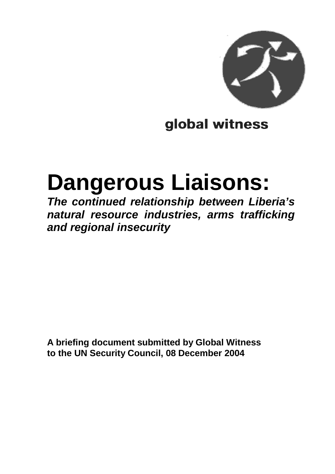

# global witness

# **Dangerous Liaisons:**

**The continued relationship between Liberia's natural resource industries, arms trafficking and regional insecurity**

**A briefing document submitted by Global Witness to the UN Security Council, 08 December 2004**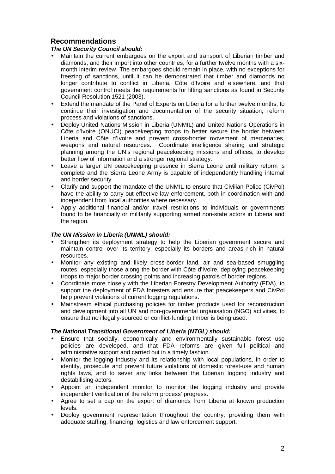# **Recommendations**

#### **The UN Security Council should:**

- Maintain the current embargoes on the export and transport of Liberian timber and diamonds, and their import into other countries, for a further twelve months with a sixmonth interim review. The embargoes should remain in place, with no exceptions for freezing of sanctions, until it can be demonstrated that timber and diamonds no longer contribute to conflict in Liberia, Côte d'Ivoire and elsewhere, and that government control meets the requirements for lifting sanctions as found in Security Council Resolution 1521 (2003).
- Extend the mandate of the Panel of Experts on Liberia for a further twelve months, to continue their investigation and documentation of the security situation, reform process and violations of sanctions.
- Deploy United Nations Mission in Liberia (UNMIL) and United Nations Operations in Côte d'Ivoire (ONUCI) peacekeeping troops to better secure the border between Liberia and Côte d'Ivoire and prevent cross-border movement of mercenaries, weapons and natural resources. Coordinate intelligence sharing and strategic planning among the UN's regional peacekeeping missions and offices, to develop better flow of information and a stronger regional strategy.
- Leave a larger UN peacekeeping presence in Sierra Leone until military reform is complete and the Sierra Leone Army is capable of independently handling internal and border security.
- Clarify and support the mandate of the UNMIL to ensure that Civilian Police (CivPol) have the ability to carry out effective law enforcement, both in coordination with and independent from local authorities where necessary.
- Apply additional financial and/or travel restrictions to individuals or governments found to be financially or militarily supporting armed non-state actors in Liberia and the region.

#### **The UN Mission in Liberia (UNMIL) should:**

- Strengthen its deployment strategy to help the Liberian government secure and maintain control over its territory, especially its borders and areas rich in natural resources.
- Monitor any existing and likely cross-border land, air and sea-based smuggling routes, especially those along the border with Côte d'Ivoire, deploying peacekeeping troops to major border crossing points and increasing patrols of border regions.
- Coordinate more closely with the Liberian Forestry Development Authority (FDA), to support the deployment of FDA foresters and ensure that peacekeepers and CivPol help prevent violations of current logging regulations.
- Mainstream ethical purchasing policies for timber products used for reconstruction and development into all UN and non-governmental organisation (NGO) activities, to ensure that no illegally-sourced or conflict-funding timber is being used.

#### **The National Transitional Government of Liberia (NTGL) should:**

- Ensure that socially, economically and environmentally sustainable forest use policies are developed, and that FDA reforms are given full political and administrative support and carried out in a timely fashion.
- Monitor the logging industry and its relationship with local populations, in order to identify, prosecute and prevent future violations of domestic forest-use and human rights laws, and to sever any links between the Liberian logging industry and destabilising actors.
- Appoint an independent monitor to monitor the logging industry and provide independent verification of the reform process' progress.
- Agree to set a cap on the export of diamonds from Liberia at known production levels.
- Deploy government representation throughout the country, providing them with adequate staffing, financing, logistics and law enforcement support.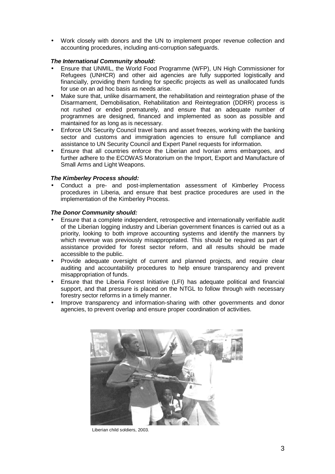• Work closely with donors and the UN to implement proper revenue collection and accounting procedures, including anti-corruption safeguards.

#### **The International Community should:**

- Ensure that UNMIL, the World Food Programme (WFP), UN High Commissioner for Refugees (UNHCR) and other aid agencies are fully supported logistically and financially, providing them funding for specific projects as well as unallocated funds for use on an ad hoc basis as needs arise.
- Make sure that, unlike disarmament, the rehabilitation and reintegration phase of the Disarmament, Demobilisation, Rehabilitation and Reintegration (DDRR) process is not rushed or ended prematurely, and ensure that an adequate number of programmes are designed, financed and implemented as soon as possible and maintained for as long as is necessary.
- Enforce UN Security Council travel bans and asset freezes, working with the banking sector and customs and immigration agencies to ensure full compliance and assistance to UN Security Council and Expert Panel requests for information.
- Ensure that all countries enforce the Liberian and Ivorian arms embargoes, and further adhere to the ECOWAS Moratorium on the Import, Export and Manufacture of Small Arms and Light Weapons.

#### **The Kimberley Process should:**

• Conduct a pre- and post-implementation assessment of Kimberley Process procedures in Liberia, and ensure that best practice procedures are used in the implementation of the Kimberley Process.

#### **The Donor Community should:**

- Ensure that a complete independent, retrospective and internationally verifiable audit of the Liberian logging industry and Liberian government finances is carried out as a priority, looking to both improve accounting systems and identify the manners by which revenue was previously misappropriated. This should be required as part of assistance provided for forest sector reform, and all results should be made accessible to the public.
- Provide adequate oversight of current and planned projects, and require clear auditing and accountability procedures to help ensure transparency and prevent misappropriation of funds.
- Ensure that the Liberia Forest Initiative (LFI) has adequate political and financial support, and that pressure is placed on the NTGL to follow through with necessary forestry sector reforms in a timely manner.
- Improve transparency and information-sharing with other governments and donor agencies, to prevent overlap and ensure proper coordination of activities.



Liberian child soldiers, 2003.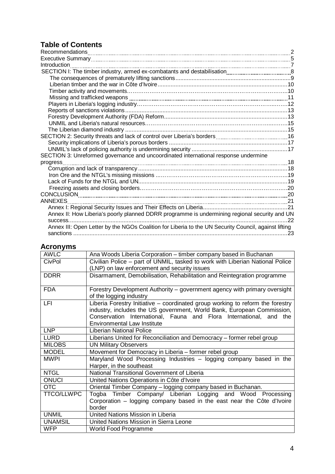# **Table of Contents**

| Introduction                                                                                                                                                                                                                         |     |
|--------------------------------------------------------------------------------------------------------------------------------------------------------------------------------------------------------------------------------------|-----|
|                                                                                                                                                                                                                                      |     |
|                                                                                                                                                                                                                                      |     |
|                                                                                                                                                                                                                                      |     |
|                                                                                                                                                                                                                                      |     |
| Missing and trafficked weapons <b>manually and the control of the control of the control of the control of the control of the control of the control of the control of the control of the control of the control of the control </b> |     |
|                                                                                                                                                                                                                                      |     |
|                                                                                                                                                                                                                                      |     |
|                                                                                                                                                                                                                                      |     |
|                                                                                                                                                                                                                                      |     |
|                                                                                                                                                                                                                                      |     |
|                                                                                                                                                                                                                                      |     |
|                                                                                                                                                                                                                                      |     |
|                                                                                                                                                                                                                                      |     |
| SECTION 3: Unreformed governance and uncoordinated international response undermine                                                                                                                                                  |     |
| progress                                                                                                                                                                                                                             |     |
|                                                                                                                                                                                                                                      |     |
|                                                                                                                                                                                                                                      |     |
|                                                                                                                                                                                                                                      |     |
|                                                                                                                                                                                                                                      |     |
|                                                                                                                                                                                                                                      |     |
| <b>ANNEXES</b><br>$\frac{1}{21}$                                                                                                                                                                                                     |     |
|                                                                                                                                                                                                                                      |     |
| Annex II: How Liberia's poorly planned DDRR programme is undermining regional security and UN                                                                                                                                        |     |
|                                                                                                                                                                                                                                      | .22 |
| Annex III: Open Letter by the NGOs Coalition for Liberia to the UN Security Council, against lifting                                                                                                                                 |     |
|                                                                                                                                                                                                                                      |     |
|                                                                                                                                                                                                                                      |     |

# **Acronyms**

| <b>AWLC</b>       | Ana Woods Liberia Corporation - timber company based in Buchanan                                                                                         |
|-------------------|----------------------------------------------------------------------------------------------------------------------------------------------------------|
| <b>CivPol</b>     | Civilian Police - part of UNMIL, tasked to work with Liberian National Police                                                                            |
|                   | (LNP) on law enforcement and security issues                                                                                                             |
| <b>DDRR</b>       | Disarmament, Demobilisation, Rehabilitation and Reintegration programme                                                                                  |
|                   |                                                                                                                                                          |
| <b>FDA</b>        | Forestry Development Authority – government agency with primary oversight                                                                                |
|                   | of the logging industry                                                                                                                                  |
| LFI               | Liberia Forestry Initiative – coordinated group working to reform the forestry<br>industry, includes the US government, World Bank, European Commission, |
|                   | Conservation International, Fauna and Flora International, and the                                                                                       |
|                   | <b>Environmental Law Institute</b>                                                                                                                       |
| <b>LNP</b>        | <b>Liberian National Police</b>                                                                                                                          |
| <b>LURD</b>       | Liberians United for Reconciliation and Democracy - former rebel group                                                                                   |
|                   |                                                                                                                                                          |
| <b>MILOBS</b>     | <b>UN Military Observers</b>                                                                                                                             |
| <b>MODEL</b>      | Movement for Democracy in Liberia - former rebel group                                                                                                   |
| <b>MWPI</b>       | Maryland Wood Processing Industries - logging company based in the                                                                                       |
|                   | Harper, in the southeast                                                                                                                                 |
| <b>NTGL</b>       | National Transitional Government of Liberia                                                                                                              |
| <b>ONUCI</b>      | United Nations Operations in Côte d'Ivoire                                                                                                               |
| <b>OTC</b>        | Oriental Timber Company - logging company based in Buchanan.                                                                                             |
| <b>TTCO/LLWPC</b> | Togba Timber Company/ Liberian Logging and Wood Processing                                                                                               |
|                   | Corporation - logging company based in the east near the Côte d'Ivoire                                                                                   |
|                   | border                                                                                                                                                   |
| <b>UNMIL</b>      | United Nations Mission in Liberia                                                                                                                        |
| <b>UNAMSIL</b>    | United Nations Mission in Sierra Leone                                                                                                                   |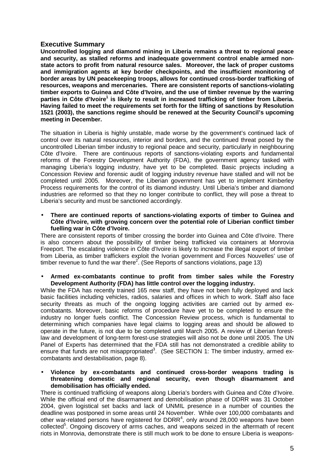#### **Executive Summary**

**Uncontrolled logging and diamond mining in Liberia remains a threat to regional peace and security, as stalled reforms and inadequate government control enable armed nonstate actors to profit from natural resource sales. Moreover, the lack of proper customs and immigration agents at key border checkpoints, and the insufficient monitoring of border areas by UN peacekeeping troops, allows for continued cross-border trafficking of resources, weapons and mercenaries. There are consistent reports of sanctions-violating timber exports to Guinea and Côte d'Ivoire, and the use of timber revenue by the warring**  parties in Côte d'Ivoire<sup>1</sup> is likely to result in increased trafficking of timber from Liberia. **Having failed to meet the requirements set forth for the lifting of sanctions by Resolution 1521 (2003), the sanctions regime should be renewed at the Security Council's upcoming meeting in December.** 

The situation in Liberia is highly unstable, made worse by the government's continued lack of control over its natural resources, interior and borders, and the continued threat posed by the uncontrolled Liberian timber industry to regional peace and security, particularly in neighbouring Côte d'Ivoire. There are continuous reports of sanctions-violating exports and fundamental reforms of the Forestry Development Authority (FDA), the government agency tasked with managing Liberia's logging industry, have yet to be completed. Basic projects including a Concession Review and forensic audit of logging industry revenue have stalled and will not be completed until 2005. Moreover, the Liberian government has yet to implement Kimberley Process requirements for the control of its diamond industry. Until Liberia's timber and diamond industries are reformed so that they no longer contribute to conflict, they will pose a threat to Liberia's security and must be sanctioned accordingly.

• **There are continued reports of sanctions-violating exports of timber to Guinea and Côte d'Ivoire, with growing concern over the potential role of Liberian conflict timber fuelling war in Côte d'Ivoire.** 

There are consistent reports of timber crossing the border into Guinea and Côte d'Ivoire. There is also concern about the possibility of timber being trafficked via containers at Monrovia Freeport. The escalating violence in Côte d'Ivoire is likely to increase the illegal export of timber from Liberia, as timber traffickers exploit the Ivorian government and Forces Nouvelles' use of timber revenue to fund the war there<sup>2</sup>. (See Reports of sanctions violations, page 13)

• **Armed ex-combatants continue to profit from timber sales while the Forestry Development Authority (FDA) has little control over the logging industry.** 

While the FDA has recently trained 165 new staff, they have not been fully deployed and lack basic facilities including vehicles, radios, salaries and offices in which to work. Staff also face security threats as much of the ongoing logging activities are carried out by armed excombatants. Moreover, basic reforms of procedure have yet to be completed to ensure the industry no longer fuels conflict. The Concession Review process, which is fundamental to determining which companies have legal claims to logging areas and should be allowed to operate in the future, is not due to be completed until March 2005. A review of Liberian forestlaw and development of long-term forest-use strategies will also not be done until 2005. The UN Panel of Experts has determined that the FDA still has not demonstrated a credible ability to ensure that funds are not misappropriated<sup>3</sup>. (See SECTION 1: The timber industry, armed excombatants and destabilisation, page 8).

• **Violence by ex-combatants and continued cross-border weapons trading is threatening domestic and regional security, even though disarmament and demobilisation has officially ended.** 

There is continued trafficking of weapons along Liberia's borders with Guinea and Côte d'Ivoire. While the official end of the disarmament and demobilisation phase of DDRR was 31 October 2004, given logistical set backs and lack of UNMIL presence in a number of counties the deadline was postponed in some areas until 24 November. While over 100,000 combatants and other war-related persons have registered for DDRR<sup>4</sup>, only around 28,000 weapons have been collected<sup>5</sup>. Ongoing discovery of arms caches, and weapons seized in the aftermath of recent riots in Monrovia, demonstrate there is still much work to be done to ensure Liberia is weapons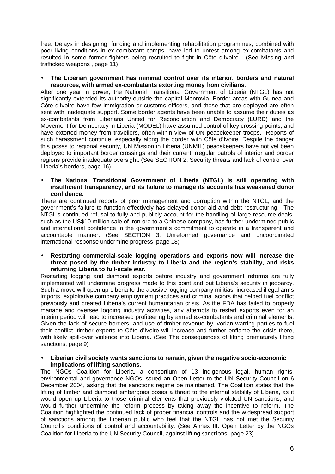free. Delays in designing, funding and implementing rehabilitation programmes, combined with poor living conditions in ex-combatant camps, have led to unrest among ex-combatants and resulted in some former fighters being recruited to fight in Côte d'Ivoire. (See Missing and trafficked weapons , page 11)

• **The Liberian government has minimal control over its interior, borders and natural resources, with armed ex-combatants extorting money from civilians.** 

After one year in power, the National Transitional Government of Liberia (NTGL) has not significantly extended its authority outside the capital Monrovia. Border areas with Guinea and Côte d'Ivoire have few immigration or customs officers, and those that are deployed are often sent with inadequate support. Some border agents have been unable to assume their duties as ex-combatants from Liberians United for Reconciliation and Democracy (LURD) and the Movement for Democracy in Liberia (MODEL) have assumed control of key crossing points, and have extorted money from travellers, often within view of UN peacekeeper troops. Reports of such harassment continue, especially along the border with Côte d'Ivoire. Despite the danger this poses to regional security, UN Mission in Liberia (UNMIL) peacekeepers have not yet been deployed to important border crossings and their current irregular patrols of interior and border regions provide inadequate oversight. (See SECTION 2: Security threats and lack of control over Liberia's borders, page 16)

• **The National Transitional Government of Liberia (NTGL) is still operating with insufficient transparency, and its failure to manage its accounts has weakened donor confidence.** 

There are continued reports of poor management and corruption within the NTGL, and the government's failure to function effectively has delayed donor aid and debt restructuring. The NTGL's continued refusal to fully and publicly account for the handling of large resource deals, such as the US\$10 million sale of iron ore to a Chinese company, has further undermined public and international confidence in the government's commitment to operate in a transparent and accountable manner. (See SECTION 3: Unreformed governance and uncoordinated international response undermine progress, page 18)

• **Restarting commercial-scale logging operations and exports now will increase the threat posed by the timber industry to Liberia and the region's stability, and risks returning Liberia to full-scale war.** 

Restarting logging and diamond exports before industry and government reforms are fully implemented will undermine progress made to this point and put Liberia's security in jeopardy. Such a move will open up Liberia to the abusive logging company militias, increased illegal arms imports, exploitative company employment practices and criminal actors that helped fuel conflict previously and created Liberia's current humanitarian crisis. As the FDA has failed to properly manage and oversee logging industry activities, any attempts to restart exports even for an interim period will lead to increased profiteering by armed ex-combatants and criminal elements. Given the lack of secure borders, and use of timber revenue by Ivorian warring parties to fuel their conflict, timber exports to Côte d'Ivoire will increase and further enflame the crisis there, with likely spill-over violence into Liberia. (See The consequences of lifting prematurely lifting sanctions, page 9)

• **Liberian civil society wants sanctions to remain, given the negative socio-economic implications of lifting sanctions.** 

The NGOs Coalition for Liberia, a consortium of 13 indigenous legal, human rights, environmental and governance NGOs issued an Open Letter to the UN Security Council on 6 December 2004, asking that the sanctions regime be maintained. The Coalition states that the lifting of timber and diamond embargoes poses a threat to the internal stability of Liberia, as it would open up Liberia to those criminal elements that previously violated UN sanctions, and would further undermine the reform process by taking away the incentive to reform. The Coalition highlighted the continued lack of proper financial controls and the widespread support of sanctions among the Liberian public who feel that the NTGL has not met the Security Council's conditions of control and accountability. (See Annex III: Open Letter by the NGOs Coalition for Liberia to the UN Security Council, against lifting sanctions, page 23)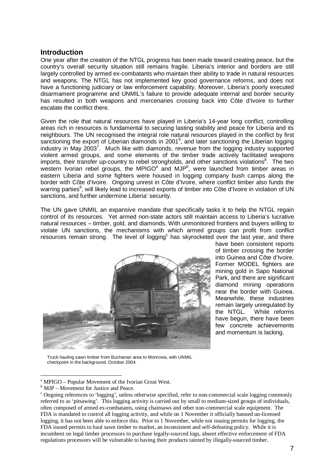#### **Introduction**

One year after the creation of the NTGL progress has been made toward creating peace, but the country's overall security situation still remains fragile. Liberia's interior and borders are still largely controlled by armed ex-combatants who maintain their ability to trade in natural resources and weapons. The NTGL has not implemented key good governance reforms, and does not have a functioning judiciary or law enforcement capability. Moreover, Liberia's poorly executed disarmament programme and UNMIL's failure to provide adequate internal and border security has resulted in both weapons and mercenaries crossing back into Côte d'Ivoire to further escalate the conflict there.

Given the role that natural resources have played in Liberia's 14-year long conflict, controlling areas rich in resources is fundamental to securing lasting stability and peace for Liberia and its neighbours. The UN recognised the integral role natural resources played in the conflict by first sanctioning the export of Liberian diamonds in 2001<sup>6</sup>, and later sanctioning the Liberian logging industry in May 2003<sup>7</sup>. Much like with diamonds, revenue from the logging industry supported violent armed groups, and some elements of the timber trade actively facilitated weapons imports, their transfer up-country to rebel strongholds, and other sanctions violations<sup>8</sup>. The two western Ivorian rebel groups, the MPIGO $^{\text{a}}$  and MJP $^{\text{b}}$ , were launched from timber areas in eastern Liberia and some fighters were housed in logging company bush camps along the border with Côte d'Ivoire. Ongoing unrest in Côte d'Ivoire, where conflict timber also funds the warring parties<sup>9</sup>, will likely lead to increased exports of timber into Côte d'Ivoire in violation of UN sanctions, and further undermine Liberia' security.

The UN gave UNMIL an expansive mandate that specifically tasks it to help the NTGL regain control of its resources. Yet armed non-state actors still maintain access to Liberia's lucrative natural resources – timber, gold, and diamonds. With unmonitored frontiers and buyers willing to violate UN sanctions, the mechanisms with which armed groups can profit from conflict resources remain strong. The level of logging<sup>c</sup> has skyrocketed over the last year, and there



have been consistent reports of timber crossing the border into Guinea and Côte d'Ivoire. Former MODEL fighters are mining gold in Sapo National Park, and there are significant diamond mining operations near the border with Guinea. Meanwhile, these industries remain largely unregulated by the NTGL. While reforms have begun, there have been few concrete achievements and momentum is lacking.

Truck hauling sawn timber from Buchanan area to Monrovia, with UNMIL checkpoint in the background, October 2004.

 $\overline{a}$ 

<sup>&</sup>lt;sup>a</sup> MPIGO – Popular Movement of the Ivorian Great West.

<sup>&</sup>lt;sup>b</sup> MJP – Movement for Justice and Peace.

<sup>&</sup>lt;sup>c</sup> Ongoing references to 'logging', unless otherwise specified, refer to non-commercial scale logging commonly referred to as 'pitsawing'. This logging activity is carried out by small to medium-sized groups of individuals, often composed of armed ex-combatants, using chainsaws and other non-commercial scale equipment. The FDA is mandated to control all logging activity, and while on 1 November it officially banned un-licensed logging, it has not been able to enforce this. Prior to 1 November, while not issuing permits for logging, the FDA issued permits to haul sawn timber to market, an inconsistent and self-defeating policy. While it is incumbent on legal timber processors to purchase legally-sourced logs, absent effective enforcement of FDA regulations processors will be vulnerable to having their products tainted by illegally-sourced timber.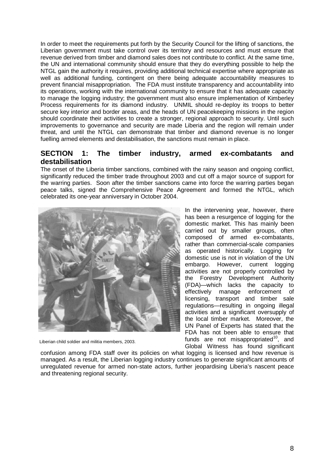In order to meet the requirements put forth by the Security Council for the lifting of sanctions, the Liberian government must take control over its territory and resources and must ensure that revenue derived from timber and diamond sales does not contribute to conflict. At the same time, the UN and international community should ensure that they do everything possible to help the NTGL gain the authority it requires, providing additional technical expertise where appropriate as well as additional funding, contingent on there being adequate accountability measures to prevent financial misappropriation. The FDA must institute transparency and accountability into its operations, working with the international community to ensure that it has adequate capacity to manage the logging industry; the government must also ensure implementation of Kimberley Process requirements for its diamond industry. UNMIL should re-deploy its troops to better secure key interior and border areas, and the heads of UN peacekeeping missions in the region should coordinate their activities to create a stronger, regional approach to security. Until such improvements to governance and security are made Liberia and the region will remain under threat, and until the NTGL can demonstrate that timber and diamond revenue is no longer fuelling armed elements and destabilisation, the sanctions must remain in place.

## **SECTION 1: The timber industry, armed ex-combatants and destabilisation**

The onset of the Liberia timber sanctions, combined with the rainy season and ongoing conflict, significantly reduced the timber trade throughout 2003 and cut off a major source of support for the warring parties. Soon after the timber sanctions came into force the warring parties began peace talks, signed the Comprehensive Peace Agreement and formed the NTGL, which celebrated its one-year anniversary in October 2004.



Liberian child soldier and militia members, 2003.

In the intervening year, however, there has been a resurgence of logging for the domestic market. This has mainly been carried out by smaller groups, often composed of armed ex-combatants, rather than commercial-scale companies as operated historically. Logging for domestic use is not in violation of the UN embargo. However, current logging activities are not properly controlled by the Forestry Development Authority (FDA)—which lacks the capacity to effectively manage enforcement of licensing, transport and timber sale regulations—resulting in ongoing illegal activities and a significant oversupply of the local timber market. Moreover, the UN Panel of Experts has stated that the FDA has not been able to ensure that funds are not misappropriated $10$ , and Global Witness has found significant

confusion among FDA staff over its policies on what logging is licensed and how revenue is managed. As a result, the Liberian logging industry continues to generate significant amounts of unregulated revenue for armed non-state actors, further jeopardising Liberia's nascent peace and threatening regional security.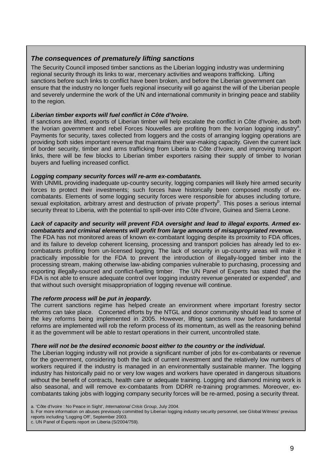#### **The consequences of prematurely lifting sanctions**

The Security Council imposed timber sanctions as the Liberian logging industry was undermining regional security through its links to war, mercenary activities and weapons trafficking. Lifting sanctions before such links to conflict have been broken, and before the Liberian government can ensure that the industry no longer fuels regional insecurity will go against the will of the Liberian people and severely undermine the work of the UN and international community in bringing peace and stability to the region.

#### **Liberian timber exports will fuel conflict in Côte d'Ivoire.**

If sanctions are lifted, exports of Liberian timber will help escalate the conflict in Côte d'Ivoire, as both the Ivorian government and rebel Forces Nouvelles are profiting from the Ivorian logging industry<sup>a</sup>. Payments for security, taxes collected from loggers and the costs of arranging logging operations are providing both sides important revenue that maintains their war-making capacity. Given the current lack of border security, timber and arms trafficking from Liberia to Côte d'Ivoire, and improving transport links, there will be few blocks to Liberian timber exporters raising their supply of timber to Ivorian buyers and fuelling increased conflict.

#### **Logging company security forces will re-arm ex-combatants.**

With UNMIL providing inadequate up-country security, logging companies will likely hire armed security forces to protect their investments; such forces have historically been composed mostly of excombatants. Elements of some logging security forces were responsible for abuses including torture, sexual exploitation, arbitrary arrest and destruction of private property<sup>b</sup>. This poses a serious internal security threat to Liberia, with the potential to spill-over into Côte d'Ivoire, Guinea and Sierra Leone.

#### **Lack of capacity and security will prevent FDA oversight and lead to illegal exports. Armed excombatants and criminal elements will profit from large amounts of misappropriated revenue.**

The FDA has not monitored areas of known ex-combatant logging despite its proximity to FDA offices, and its failure to develop coherent licensing, processing and transport policies has already led to excombatants profiting from un-licensed logging. The lack of security in up-country areas will make it practically impossible for the FDA to prevent the introduction of illegally-logged timber into the processing stream, making otherwise law-abiding companies vulnerable to purchasing, processing and exporting illegally-sourced and conflict-fuelling timber. The UN Panel of Experts has stated that the FDA is not able to ensure adequate control over logging industry revenue generated or expended<sup>c</sup>, and that without such oversight misappropriation of logging revenue will continue.

#### **The reform process will be put in jeopardy.**

The current sanctions regime has helped create an environment where important forestry sector reforms can take place. Concerted efforts by the NTGL and donor community should lead to some of the key reforms being implemented in 2005. However, lifting sanctions now before fundamental reforms are implemented will rob the reform process of its momentum, as well as the reasoning behind it as the government will be able to restart operations in their current, uncontrolled state.

#### **There will not be the desired economic boost either to the country or the individual.**

The Liberian logging industry will not provide a significant number of jobs for ex-combatants or revenue for the government, considering both the lack of current investment and the relatively low numbers of workers required if the industry is managed in an environmentally sustainable manner. The logging industry has historically paid no or very low wages and workers have operated in dangerous situations without the benefit of contracts, health care or adequate training. Logging and diamond mining work is also seasonal, and will remove ex-combatants from DDRR re-training programmes. Moreover, excombatants taking jobs with logging company security forces will be re-armed, posing a security threat.

b. For more information on abuses previously committed by Liberian logging industry security personnel, see Global Witness' previous reports including 'Logging Off', September 2003.

c. UN Panel of Experts report on Liberia (S/2004/759).

a. 'Côte d'Ivoire : No Peace in Sight', International Crisis Group, July 2004.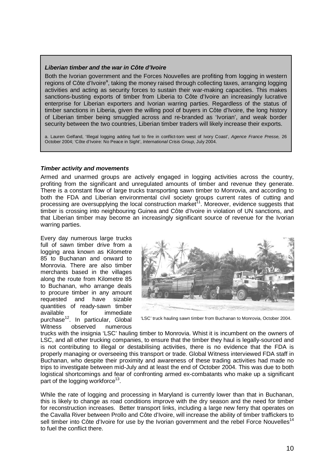#### **Liberian timber and the war in Côte d'Ivoire**

Both the Ivorian government and the Forces Nouvelles are profiting from logging in western regions of Côte d'Ivoire<sup>a</sup>, taking the money raised through collecting taxes, arranging logging activities and acting as security forces to sustain their war-making capacities. This makes sanctions-busting exports of timber from Liberia to Côte d'Ivoire an increasingly lucrative enterprise for Liberian exporters and Ivorian warring parties. Regardless of the status of timber sanctions in Liberia, given the willing pool of buyers in Côte d'Ivoire, the long history of Liberian timber being smuggled across and re-branded as 'Ivorian', and weak border security between the two countries, Liberian timber traders will likely increase their exports.

a. Lauren Gelfand, 'Illegal logging adding fuel to fire in conflict-torn west of Ivory Coast', Agence France Presse, 26 October 2004; 'Côte d'Ivoire: No Peace in Sight', International Crisis Group, July 2004.

#### **Timber activity and movements**

Armed and unarmed groups are actively engaged in logging activities across the country. profiting from the significant and unregulated amounts of timber and revenue they generate. There is a constant flow of large trucks transporting sawn timber to Monrovia, and according to both the FDA and Liberian environmental civil society groups current rates of cutting and processing are oversupplying the local construction market<sup>11</sup>. Moreover, evidence suggests that timber is crossing into neighbouring Guinea and Côte d'Ivoire in violation of UN sanctions, and that Liberian timber may become an increasingly significant source of revenue for the Ivorian warring parties.

Every day numerous large trucks full of sawn timber drive from a logging area known as Kilometre 85 to Buchanan and onward to Monrovia. There are also timber merchants based in the villages along the route from Kilometre 85 to Buchanan, who arrange deals to procure timber in any amount requested and have sizable quantities of ready-sawn timber available for immediate purchase<sup>12</sup>. In particular, Global Witness observed numerous



'LSC' truck hauling sawn timber from Buchanan to Monrovia, October 2004.

trucks with the insignia 'LSC' hauling timber to Monrovia. Whist it is incumbent on the owners of LSC, and all other trucking companies, to ensure that the timber they haul is legally-sourced and is not contributing to illegal or destabilising activities, there is no evidence that the FDA is properly managing or overseeing this transport or trade. Global Witness interviewed FDA staff in Buchanan, who despite their proximity and awareness of these trading activities had made no trips to investigate between mid-July and at least the end of October 2004. This was due to both logistical shortcomings and fear of confronting armed ex-combatants who make up a significant part of the logging workforce<sup>13</sup>.

While the rate of logging and processing in Maryland is currently lower than that in Buchanan, this is likely to change as road conditions improve with the dry season and the need for timber for reconstruction increases. Better transport links, including a large new ferry that operates on the Cavalla River between Prollo and Côte d'Ivoire, will increase the ability of timber traffickers to sell timber into Côte d'Ivoire for use by the Ivorian government and the rebel Force Nouvelles<sup>14</sup> to fuel the conflict there.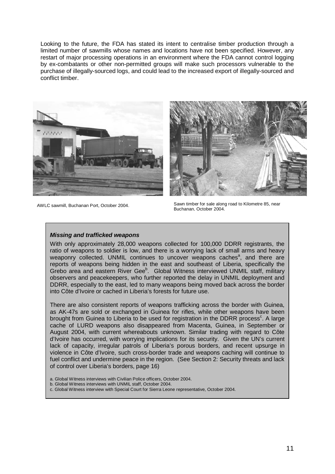Looking to the future, the FDA has stated its intent to centralise timber production through a limited number of sawmills whose names and locations have not been specified. However, any restart of major processing operations in an environment where the FDA cannot control logging by ex-combatants or other non-permitted groups will make such processors vulnerable to the purchase of illegally-sourced logs, and could lead to the increased export of illegally-sourced and conflict timber.



AWLC sawmill, Buchanan Port, October 2004.



Sawn timber for sale along road to Kilometre 85, near<br>Buchanan, October 2004,

#### **Missing and trafficked weapons**

With only approximately 28,000 weapons collected for 100,000 DDRR registrants, the ratio of weapons to soldier is low, and there is a worrying lack of small arms and heavy weaponry collected. UNMIL continues to uncover weapons caches<sup>a</sup>, and there are reports of weapons being hidden in the east and southeast of Liberia, specifically the Grebo area and eastern River Gee<sup>b</sup>. Global Witness interviewed UNMIL staff, military observers and peacekeepers, who further reported the delay in UNMIL deployment and DDRR, especially to the east, led to many weapons being moved back across the border into Côte d'Ivoire or cached in Liberia's forests for future use.

There are also consistent reports of weapons trafficking across the border with Guinea, as AK-47s are sold or exchanged in Guinea for rifles, while other weapons have been brought from Guinea to Liberia to be used for registration in the DDRR process<sup>c</sup>. A large cache of LURD weapons also disappeared from Macenta, Guinea, in September or August 2004, with current whereabouts unknown. Similar trading with regard to Côte d'Ivoire has occurred, with worrying implications for its security. Given the UN's current lack of capacity, irregular patrols of Liberia's porous borders, and recent upsurge in violence in Côte d'Ivoire, such cross-border trade and weapons caching will continue to fuel conflict and undermine peace in the region. (See Section 2: Security threats and lack of control over Liberia's borders, page 16)

- a. Global Witness interviews with Civilian Police officers, October 2004.
- b. Global Witness interviews with UNMIL staff, October 2004.
- c. Global Witness interview with Special Court for Sierra Leone representative, October 2004.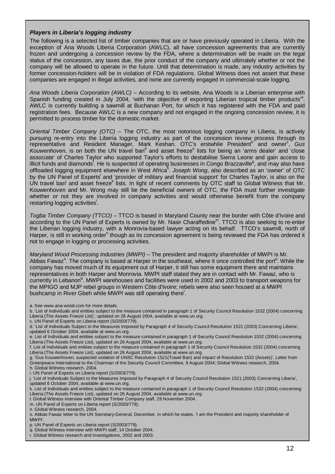#### **Players in Liberia's logging industry**

The following is a selected list of uniber companies that are or have previously operated in Liberia. With the<br>exception of Ana Woods Liberia Corporation (AWLC), all have concession agreements that are currently The following is a selected list of timber companies that are or have previously operated in Liberia. With the frozen and undergoing a concession review by the FDA, where a determination will be made on the legal status of the concession, any taxes due, the prior conduct of the company and ultimately whether or not the company will be allowed to operate in the future. Until that determination is made, any industry activities by former concession-holders will be in violation of FDA regulations. Global Witness does not assert that these companies are engaged in illegal activities, and none are currently engaged in commercial-scale logging.

Ana Woods Liberia Corporation (AWLC) – According to its website, Ana Woods is a Liberian enterprise with Spanish funding created in July 2004, 'with the objective of exporting Liberian tropical timber products<sup>'a</sup>. AWLC is currently building a sawmill at Buchanan Port, for which it has registered with the FDA and paid registration fees. Because AWLC is a new company and not engaged in the ongoing concession review, it is permitted to process timber for the domestic market.

Oriental Timber Company (OTC) - The OTC, the most notorious logging company in Liberia, is actively pursuing re-entry into the Liberia logging industry as part of the concession review process through its representative and Resident Manager, Mark Keshan. OTC's erstwhile President<sup>b'</sup> and owner<sup>c</sup>, Gus Kouwenhoven, is on both the UN travel ban<sup>d</sup> and asset freeze<sup>e</sup> lists for being an 'arms dealer' and 'close associate' of Charles Taylor who supported Taylor's efforts to destabilise Sierra Leone and gain access to illicit funds and diamonds<sup>f</sup>. He is suspected of operating businesses in Congo Brazzaville<sup>g</sup>, and may also have offloaded logging equipment elsewhere in West Africa<sup>n</sup>. Joseph Wong, also described as an 'owner' of OTC by the UN Panel of Experts<sup>i</sup> and 'provider of military and financial support' for Charles Taylor, is also on the UN travel ban<sup>j</sup> and asset freeze<sup>k</sup> lists. In light of recent comments by OTC staff to Global Witness that Mr. Kouwenhoven and Mr. Wong may still be the beneficial owners of OTC, the FDA must further investigate whether or not they are involved in company activities and would otherwise benefit from the company restarting logging activities<sup>!</sup>.

Togba Timber Company (TTCO) – TTCO is based in Maryland County near the border with Côte d'Ivoire and according to the UN Panel of Experts is owned by Mr. Nasir Charaffedine<sup>m</sup>. TTCO is also seeking to re-enter the Liberian logging industry, with a Monrovia-based lawyer acting on its behalf. TTCO's sawmill, north of Harper, is still in working order<sup>n</sup> though as its concession agreement is being reviewed the FDA has ordered it not to engage in logging or processing activities.

Maryland Wood Processing Industries (MWPI) – The president and majority shareholder of MWPI is Mr. Abbas Fawaz<sup>°</sup>. The company is based at Harper in the southeast, where it once controlled the port<sup>p</sup>. While the company has moved much of its equipment out of Harper, it still has some equipment there and maintains representatives in both Harper and Monrovia. MWPI staff stated they are in contact with Mr. Fawaz, who is currently in Lebanon<sup>q</sup>. MWPI warehouses and facilities were used in 2002 and 2003 to transport weapons for the MPIGO and MJP rebel groups in Western Côte d'Ivoire; rebels were also seen housed at a MWPI bushcamp in River Gbeh while MWPI was still operating there<sup>r</sup>.

- a. See www.ana-wood.com for more details.
- b. 'List of Individuals and entities subject to the measure contained in paragraph 1 of Security Council Resolution 1532 (2004) concerning Liberia (The Assets Freeze List)', updated on 26 August 2004, available at www.un.org.
- c. UN Panel of Experts on Liberia report (S/2003/779).

- f. List of Individuals and entities subject to the measure contained in paragraph 1 of Security Council Resolution 1532 (2004) concerning Liberia (The Assets Freeze List), updated on 26 August 2004, available at www.un.org.
- g. 'Gus Kouwenhoven, suspected violation of UNSC Resolution 1521(Travel Ban) and impact of Resolution 1532 (Assets)', Letter from Greenpeace International to the Chairman of the Security Council Committee, 9 August 2004; Global Witness research, 2004. h. Global Witness research, 2004.
- i. UN Panel of Experts on Liberia report (S/2003/779).
- j. 'List of Individuals Subject to the Measures Imposed by Paragraph 4 of Security Council Resolution 1521 (2003) Concerning Liberia', updated 6 October 2004, available at www.un.org.

k. List of Individuals and entities subject to the measure contained in paragraph 1 of Security Council Resolution 1532 (2004) concerning Liberia (The Assets Freeze List), updated on 26 August 2004, available at www.un.org.

- l. Global Witness interview with Oriental Timber Company staff, 29 November 2004.
- m. UN Panel of Experts on Liberia report (S/2003/779).
- n. Global Witness research, 2004.

p. UN Panel of Experts on Liberia report (S/2003/779).

d. 'List of Individuals Subject to the Measures Imposed by Paragraph 4 of Security Council Resolution 1521 (2003) Concerning Liberia', updated 6 October 2004, available at www.un.org.

e. List of Individuals and entities subject to the measure contained in paragraph 1 of Security Council Resolution 1532 (2004) concerning Liberia (The Assets Freeze List), updated on 26 August 2004, available at www.un.org.

o. Abbas Fawaz letter to the UN Secretary-General, December, in which he states, 'I am the President and majority shareholder of MWPI'.

q. Global Witness interview with MWPI staff, 14 October 2004.

r. Global Witness research and investigations, 2002 and 2003.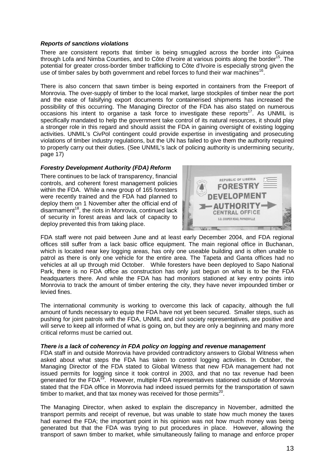#### **Reports of sanctions violations**

There are consistent reports that timber is being smuggled across the border into Guinea through Lofa and Nimba Counties, and to Côte d'Ivoire at various points along the border<sup>15</sup>. The potential for greater cross-border timber trafficking to Côte d'Ivoire is especially strong given the use of timber sales by both government and rebel forces to fund their war machines<sup>16</sup>.

There is also concern that sawn timber is being exported in containers from the Freeport of Monrovia. The over-supply of timber to the local market, large stockpiles of timber near the port and the ease of falsifying export documents for containerised shipments has increased the possibility of this occurring. The Managing Director of the FDA has also stated on numerous occasions his intent to organise a task force to investigate these reports<sup>17</sup>. As UNMIL is specifically mandated to help the government take control of its natural resources, it should play a stronger role in this regard and should assist the FDA in gaining oversight of existing logging activities. UNMIL's CivPol contingent could provide expertise in investigating and prosecuting violations of timber industry regulations, but the UN has failed to give them the authority required to properly carry out their duties. (See UNMIL's lack of policing authority is undermining security, page 17)

#### **Forestry Development Authority (FDA) Reform**

There continues to be lack of transparency, financial controls, and coherent forest management policies within the FDA. While a new group of 165 foresters were recently trained and the FDA had planned to deploy them on 1 November after the official end of disarmament $18$ , the riots in Monrovia, continued lack of security in forest areas and lack of capacity to deploy prevented this from taking place.



FDA staff were not paid between June and at least early December 2004, and FDA regional offices still suffer from a lack basic office equipment. The main regional office in Buchanan, which is located near key logging areas, has only one useable building and is often unable to patrol as there is only one vehicle for the entire area. The Tapeta and Ganta offices had no vehicles at all up through mid October. While foresters have been deployed to Sapo National Park, there is no FDA office as construction has only just begun on what is to be the FDA headquarters there. And while the FDA has had monitors stationed at key entry points into Monrovia to track the amount of timber entering the city, they have never impounded timber or levied fines.

The international community is working to overcome this lack of capacity, although the full amount of funds necessary to equip the FDA have not yet been secured. Smaller steps, such as pushing for joint patrols with the FDA, UNMIL and civil society representatives, are positive and will serve to keep all informed of what is going on, but they are only a beginning and many more critical reforms must be carried out.

#### **There is a lack of coherency in FDA policy on logging and revenue management**

FDA staff in and outside Monrovia have provided contradictory answers to Global Witness when asked about what steps the FDA has taken to control logging activities. In October, the Managing Director of the FDA stated to Global Witness that new FDA management had not issued permits for logging since it took control in 2003, and that no tax revenue had been generated for the FDA<sup>19</sup>. However, multiple FDA representatives stationed outside of Monrovia stated that the FDA office in Monrovia had indeed issued permits for the transportation of sawn timber to market, and that tax money was received for those permits<sup>20</sup>.

The Managing Director, when asked to explain the discrepancy in November, admitted the transport permits and receipt of revenue, but was unable to state how much money the taxes had earned the FDA; the important point in his opinion was not how much money was being generated but that the FDA was trying to put procedures in place. However, allowing the transport of sawn timber to market, while simultaneously failing to manage and enforce proper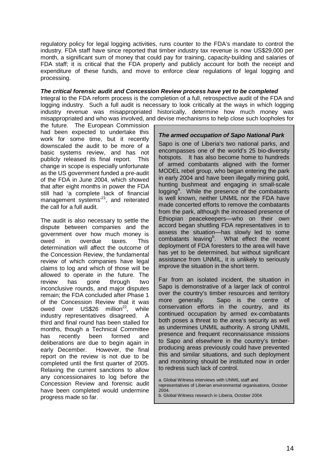regulatory policy for legal logging activities, runs counter to the FDA's mandate to control the industry. FDA staff have since reported that timber industry tax revenue is now US\$29,000 per month, a significant sum of money that could pay for training, capacity-building and salaries of FDA staff; it is critical that the FDA properly and publicly account for both the receipt and expenditure of these funds, and move to enforce clear regulations of legal logging and processing.

#### **The critical forensic audit and Concession Review process have yet to be completed**

Integral to the FDA reform process is the completion of a full, retrospective audit of the FDA and logging industry. Such a full audit is necessary to look critically at the ways in which logging industry revenue was misappropriated historically, determine how much money was misappropriated and who was involved, and devise mechanisms to help close such loopholes for

the future. The European Commission had been expected to undertake this work for some time, but it recently downscaled the audit to be more of a basic systems review, and has not publicly released its final report. This change in scope is especially unfortunate as the US government funded a pre-audit of the FDA in June 2004, which showed that after eight months in power the FDA still had 'a complete lack of financial management systems<sup>21</sup>, and reiterated the call for a full audit.

The audit is also necessary to settle the dispute between companies and the government over how much money is owed in overdue taxes. This determination will affect the outcome of the Concession Review, the fundamental review of which companies have legal claims to log and which of those will be allowed to operate in the future. The review has gone through two inconclusive rounds, and major disputes remain; the FDA concluded after Phase 1 of the Concession Review that it was owed over US\$26 million $^{22}$ , while industry representatives disagreed. A third and final round has been stalled for months, though a Technical Committee has recently been formed and deliberations are due to begin again in early December. However, the final report on the review is not due to be completed until the first quarter of 2005. Relaxing the current sanctions to allow any concessionaires to log before the Concession Review and forensic audit have been completed would undermine progress made so far.

#### **The armed occupation of Sapo National Park**

Sapo is one of Liberia's two national parks, and encompasses one of the world's 25 bio-diversity hotspots. It has also become home to hundreds of armed combatants aligned with the former MODEL rebel group, who began entering the park in early 2004 and have been illegally mining gold, hunting bushmeat and engaging in small-scale logging<sup>a</sup>. While the presence of the combatants is well known, neither UNMIL nor the FDA have made concerted efforts to remove the combatants from the park, although the increased presence of Ethiopian peacekeepers—who on their own accord began shuttling FDA representatives in to assess the situation—has slowly led to some combatants leaving<sup>b</sup>. What effect the recent deployment of FDA foresters to the area will have has yet to be determined, but without significant assistance from UNMIL, it is unlikely to seriously improve the situation in the short term.

Far from an isolated incident, the situation in Sapo is demonstrative of a larger lack of control over the country's timber resources and territory more generally. Sapo is the centre of conservation efforts in the country, and its continued occupation by armed ex-combatants both poses a threat to the area's security as well as undermines UNMIL authority. A strong UNMIL presence and frequent reconnaissance missions to Sapo and elsewhere in the country's timberproducing areas previously could have prevented this and similar situations, and such deployment and monitoring should be instituted now in order to redress such lack of control.

a. Global Witness interviews with UNMIL staff and representatives of Liberian environmental organisations, October 2004.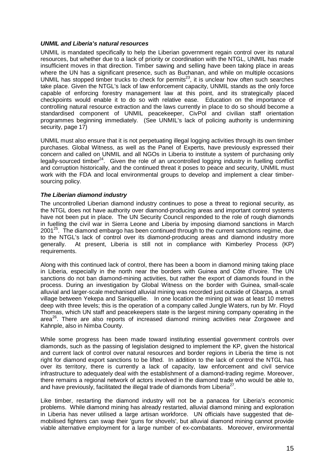#### **UNMIL and Liberia's natural resources**

UNMIL is mandated specifically to help the Liberian government regain control over its natural resources, but whether due to a lack of priority or coordination with the NTGL, UNMIL has made insufficient moves in that direction. Timber sawing and selling have been taking place in areas where the UN has a significant presence, such as Buchanan, and while on multiple occasions UNMIL has stopped timber trucks to check for permits<sup>23</sup>, it is unclear how often such searches take place. Given the NTGL's lack of law enforcement capacity, UNMIL stands as the only force capable of enforcing forestry management law at this point, and its strategically placed checkpoints would enable it to do so with relative ease. Education on the importance of controlling natural resource extraction and the laws currently in place to do so should become a standardised component of UNMIL peacekeeper, CivPol and civilian staff orientation programmes beginning immediately. (See UNMIL's lack of policing authority is undermining security, page 17)

UNMIL must also ensure that it is not perpetuating illegal logging activities through its own timber purchases. Global Witness, as well as the Panel of Experts, have previously expressed their concern and called on UNMIL and all NGOs in Liberia to institute a system of purchasing only legally-sourced timber<sup>24</sup>. Given the role of an uncontrolled logging industry in fuelling conflict and corruption historically, and the continued threat it poses to peace and security, UNMIL must work with the FDA and local environmental groups to develop and implement a clear timbersourcing policy.

#### **The Liberian diamond industry**

The uncontrolled Liberian diamond industry continues to pose a threat to regional security, as the NTGL does not have authority over diamond-producing areas and important control systems have not been put in place. The UN Security Council responded to the role of rough diamonds in fuelling the civil war in Sierra Leone and Liberia by imposing diamond sanctions in March  $2001^{25}$ . The diamond embargo has been continued through to the current sanctions regime, due to the NTGL's lack of control over its diamond-producing areas and diamond industry more generally. At present, Liberia is still not in compliance with Kimberley Process (KP) requirements.

Along with this continued lack of control, there has been a boom in diamond mining taking place in Liberia, especially in the north near the borders with Guinea and Côte d'Ivoire. The UN sanctions do not ban diamond-mining activities, but rather the export of diamonds found in the process. During an investigation by Global Witness on the border with Guinea, small-scale alluvial and larger-scale mechanised alluvial mining was recorded just outside of Gbarpa, a small village between Yekepa and Saniquellie. In one location the mining pit was at least 10 metres deep with three levels; this is the operation of a company called Jungle Waters, run by Mr. Floyd Thomas, which UN staff and peacekeepers state is the largest mining company operating in the area<sup>26</sup>. There are also reports of increased diamond mining activities near Zorgowee and Kahnple, also in Nimba County.

While some progress has been made toward instituting essential government controls over diamonds, such as the passing of legislation designed to implement the KP, given the historical and current lack of control over natural resources and border regions in Liberia the time is not right for diamond export sanctions to be lifted. In addition to the lack of control the NTGL has over its territory, there is currently a lack of capacity, law enforcement and civil service infrastructure to adequately deal with the establishment of a diamond-trading regime. Moreover, there remains a regional network of actors involved in the diamond trade who would be able to, and have previously, facilitated the illegal trade of diamonds from Liberia<sup>27</sup>.

Like timber, restarting the diamond industry will not be a panacea for Liberia's economic problems. While diamond mining has already restarted, alluvial diamond mining and exploration in Liberia has never utilised a large artisan workforce. UN officials have suggested that demobilised fighters can swap their 'guns for shovels', but alluvial diamond mining cannot provide viable alternative employment for a large number of ex-combatants. Moreover, environmental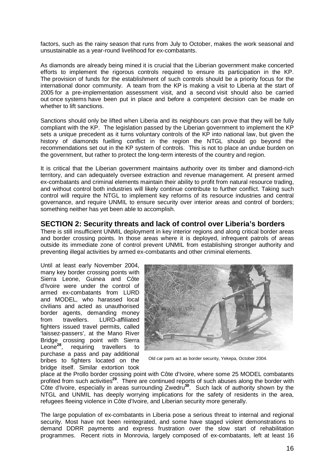factors, such as the rainy season that runs from July to October, makes the work seasonal and unsustainable as a year-round livelihood for ex-combatants.

As diamonds are already being mined it is crucial that the Liberian government make concerted efforts to implement the rigorous controls required to ensure its participation in the KP. The provision of funds for the establishment of such controls should be a priority focus for the international donor community. A team from the KP is making a visit to Liberia at the start of 2005 for a pre-implementation assessment visit, and a second visit should also be carried out once systems have been put in place and before a competent decision can be made on whether to lift sanctions.

Sanctions should only be lifted when Liberia and its neighbours can prove that they will be fully compliant with the KP. The legislation passed by the Liberian government to implement the KP sets a unique precedent as it turns voluntary controls of the KP into national law, but given the history of diamonds fuelling conflict in the region the NTGL should go beyond the recommendations set out in the KP system of controls. This is not to place an undue burden on the government, but rather to protect the long-term interests of the country and region.

It is critical that the Liberian government maintains authority over its timber and diamond-rich territory, and can adequately oversee extraction and revenue management. At present armed ex-combatants and criminal elements maintain their ability to profit from natural resource trading, and without control both industries will likely continue contribute to further conflict. Taking such control will require the NTGL to implement key reforms of its resource industries and central governance, and require UNMIL to ensure security over interior areas and control of borders; something neither has yet been able to accomplish.

#### **SECTION 2: Security threats and lack of control over Liberia's borders**

There is still insufficient UNMIL deployment in key interior regions and along critical border areas and border crossing points. In those areas where it is deployed, infrequent patrols of areas outside its immediate zone of control prevent UNMIL from establishing stronger authority and preventing illegal activities by armed ex-combatants and other criminal elements.

Until at least early November 2004, many key border crossing points with Sierra Leone, Guinea and Côte d'Ivoire were under the control of armed ex-combatants from LURD and MODEL, who harassed local civilians and acted as unauthorised border agents, demanding money from travellers. LURD-affiliated fighters issued travel permits, called 'laissez-passers', at the Mano River Bridge crossing point with Sierra Leone**<sup>28</sup>**, requiring travellers to purchase a pass and pay additional bribes to fighters located on the bridge itself. Similar extortion took



Old car parts act as border security, Yekepa, October 2004.

place at the Prollo border crossing point with Côte d'Ivoire, where some 25 MODEL combatants profited from such activities**<sup>29</sup>**. There are continued reports of such abuses along the border with Côte d'Ivoire, especially in areas surrounding Zwedru**<sup>30</sup>**. Such lack of authority shown by the NTGL and UNMIL has deeply worrying implications for the safety of residents in the area, refugees fleeing violence in Côte d'Ivoire, and Liberian security more generally.

The large population of ex-combatants in Liberia pose a serious threat to internal and regional security. Most have not been reintegrated, and some have staged violent demonstrations to demand DDRR payments and express frustration over the slow start of rehabilitation programmes. Recent riots in Monrovia, largely composed of ex-combatants, left at least 16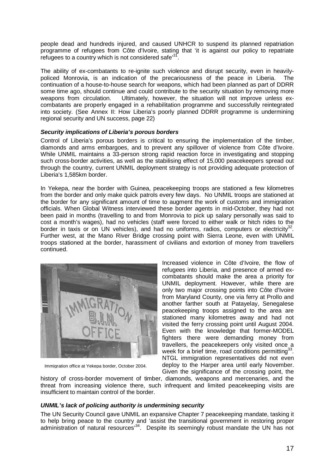people dead and hundreds injured, and caused UNHCR to suspend its planned repatriation programme of refugees from Côte d'Ivoire, stating that 'it is against our policy to repatriate refugees to a country which is not considered safe<sup>3</sup>

The ability of ex-combatants to re-ignite such violence and disrupt security, even in heavilypoliced Monrovia, is an indication of the precariousness of the peace in Liberia. The continuation of a house-to-house search for weapons, which had been planned as part of DDRR some time ago, should continue and could contribute to the security situation by removing more weapons from circulation. Ultimately, however, the situation will not improve unless excombatants are properly engaged in a rehabilitation programme and successfully reintegrated into society. (See Annex II: How Liberia's poorly planned DDRR programme is undermining regional security and UN success, page 22)

#### **Security implications of Liberia's porous borders**

Control of Liberia's porous borders is critical to ensuring the implementation of the timber, diamonds and arms embargoes, and to prevent any spillover of violence from Côte d'Ivoire. While UNMIL maintains a 33-person strong rapid reaction force in investigating and stopping such cross-border activities, as well as the stabilising effect of 15,000 peacekeepers spread out through the country, current UNMIL deployment strategy is not providing adequate protection of Liberia's 1,585km border.

In Yekepa, near the border with Guinea, peacekeeping troops are stationed a few kilometres from the border and only make quick patrols every few days. No UNMIL troops are stationed at the border for any significant amount of time to augment the work of customs and immigration officials. When Global Witness interviewed these border agents in mid-October, they had not been paid in months (travelling to and from Monrovia to pick up salary personally was said to cost a month's wages), had no vehicles (staff were forced to either walk or hitch rides to the border in taxis or on UN vehicles), and had no uniforms, radios, computers or electricity<sup>32</sup>. Further west, at the Mano River Bridge crossing point with Sierra Leone, even with UNMIL troops stationed at the border, harassment of civilians and extortion of money from travellers continued.



Immigration office at Yekepa border, October 2004.

Increased violence in Côte d'Ivoire, the flow of refugees into Liberia, and presence of armed excombatants should make the area a priority for UNMIL deployment. However, while there are only two major crossing points into Côte d'Ivoire from Maryland County, one via ferry at Prollo and another farther south at Patayelay, Senegalese peacekeeping troops assigned to the area are stationed many kilometres away and had not visited the ferry crossing point until August 2004. Even with the knowledge that former-MODEL fighters there were demanding money from travellers, the peacekeepers only visited once a week for a brief time, road conditions permitting<sup>33</sup>. NTGL immigration representatives did not even deploy to the Harper area until early November. Given the significance of the crossing point, the

history of cross-border movement of timber, diamonds, weapons and mercenaries, and the threat from increasing violence there, such infrequent and limited peacekeeping visits are insufficient to maintain control of the border.

#### **UNMIL's lack of policing authority is undermining security**

The UN Security Council gave UNMIL an expansive Chapter 7 peacekeeping mandate, tasking it to help bring peace to the country and 'assist the transitional government in restoring proper administration of natural resources<sup>34</sup>. Despite its seemingly robust mandate the UN has not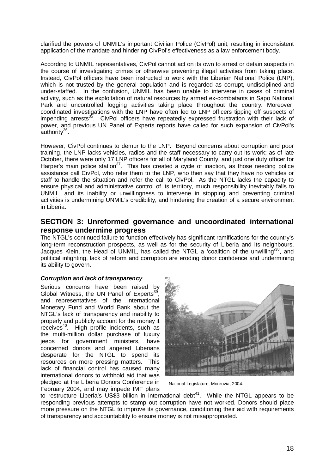clarified the powers of UNMIL's important Civilian Police (CivPol) unit, resulting in inconsistent application of the mandate and hindering CivPol's effectiveness as a law enforcement body.

According to UNMIL representatives, CivPol cannot act on its own to arrest or detain suspects in the course of investigating crimes or otherwise preventing illegal activities from taking place. Instead, CivPol officers have been instructed to work with the Liberian National Police (LNP), which is not trusted by the general population and is regarded as corrupt, undisciplined and under-staffed. In the confusion, UNMIL has been unable to intervene in cases of criminal activity, such as the exploitation of natural resources by armed ex-combatants in Sapo National Park and uncontrolled logging activities taking place throughout the country. Moreover, coordinated investigations with the LNP have often led to LNP officers tipping off suspects of impending arrests<sup>35</sup>. CivPol officers have repeatedly expressed frustration with their lack of power, and previous UN Panel of Experts reports have called for such expansion of CivPol's authority $36$ .

However, CivPol continues to demur to the LNP. Beyond concerns about corruption and poor training, the LNP lacks vehicles, radios and the staff necessary to carry out its work; as of late October, there were only 17 LNP officers for all of Maryland County, and just one duty officer for Harper's main police station<sup>37</sup>. This has created a cycle of inaction, as those needing police assistance call CivPol, who refer them to the LNP, who then say that they have no vehicles or staff to handle the situation and refer the call to CivPol. As the NTGL lacks the capacity to ensure physical and administrative control of its territory, much responsibility inevitably falls to UNMIL, and its inability or unwillingness to intervene in stopping and preventing criminal activities is undermining UNMIL's credibility, and hindering the creation of a secure environment in Liberia.

#### **SECTION 3: Unreformed governance and uncoordinated international response undermine progress**

The NTGL's continued failure to function effectively has significant ramifications for the country's long-term reconstruction prospects, as well as for the security of Liberia and its neighbours. Jacques Klein, the Head of UNMIL, has called the NTGL a 'coalition of the unwilling'38, and political infighting, lack of reform and corruption are eroding donor confidence and undermining its ability to govern.

#### **Corruption and lack of transparency**

Serious concerns have been raised by Global Witness, the UN Panel of Experts<sup>39</sup> and representatives of the International Monetary Fund and World Bank about the NTGL's lack of transparency and inability to properly and publicly account for the money it receives<sup>40</sup>. High profile incidents, such as the multi-million dollar purchase of luxury jeeps for government ministers, have concerned donors and angered Liberians desperate for the NTGL to spend its resources on more pressing matters. This lack of financial control has caused many international donors to withhold aid that was pledged at the Liberia Donors Conference in February 2004, and may impede IMF plans



National Legislature, Monrovia, 2004.

to restructure Liberia's US\$3 billion in international debt $41$ . While the NTGL appears to be responding previous attempts to stamp out corruption have not worked. Donors should place more pressure on the NTGL to improve its governance, conditioning their aid with requirements of transparency and accountability to ensure money is not misappropriated.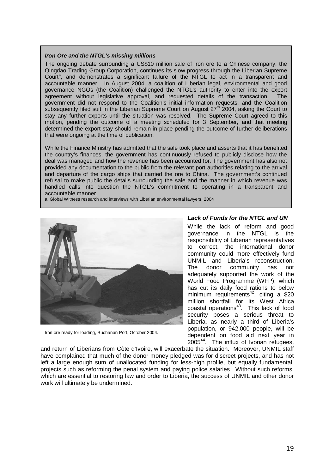#### **Iron Ore and the NTGL's missing millions**

The ongoing debate surrounding a US\$10 million sale of iron ore to a Chinese company, the Qingdao Trading Group Corporation, continues its slow progress through the Liberian Supreme Court<sup>a</sup>, and demonstrates a significant failure of the NTGL to act in a transparent and accountable manner. In August 2004, a coalition of Liberian legal, environmental and good governance NGOs (the Coalition) challenged the NTGL's authority to enter into the export agreement without legislative approval, and requested details of the transaction. The government did not respond to the Coalition's initial information requests, and the Coalition subsequently filed suit in the Liberian Supreme Court on August  $27<sup>th</sup>$  2004, asking the Court to stay any further exports until the situation was resolved. The Supreme Court agreed to this motion, pending the outcome of a meeting scheduled for 3 September, and that meeting determined the export stay should remain in place pending the outcome of further deliberations that were ongoing at the time of publication.

While the Finance Ministry has admitted that the sale took place and asserts that it has benefited the country's finances, the government has continuously refused to publicly disclose how the deal was managed and how the revenue has been accounted for. The government has also not provided any documentation to the public from the relevant port authorities relating to the arrival and departure of the cargo ships that carried the ore to China. The government's continued refusal to make public the details surrounding the sale and the manner in which revenue was handled calls into question the NTGL's commitment to operating in a transparent and accountable manner.

a. Global Witness research and interviews with Liberian environmental lawyers, 2004



Iron ore ready for loading, Buchanan Port, October 2004.

#### **Lack of Funds for the NTGL and UN**

While the lack of reform and good governance in the NTGL is the responsibility of Liberian representatives to correct, the international donor community could more effectively fund UNMIL and Liberia's reconstruction. The donor community has not adequately supported the work of the World Food Programme (WFP), which has cut its daily food rations to below minimum requirements<sup>42</sup>, citing a \$20 million shortfall for its West Africa coastal operations<sup>43</sup>. This lack of food security poses a serious threat to Liberia, as nearly a third of Liberia's population, or 942,000 people, will be dependent on food aid next year in 2005<sup>44</sup>. The influx of Ivorian refugees,

and return of Liberians from Côte d'Ivoire, will exacerbate the situation. Moreover, UNMIL staff have complained that much of the donor money pledged was for discreet projects, and has not left a large enough sum of unallocated funding for less-high profile, but equally fundamental, projects such as reforming the penal system and paying police salaries. Without such reforms, which are essential to restoring law and order to Liberia, the success of UNMIL and other donor work will ultimately be undermined.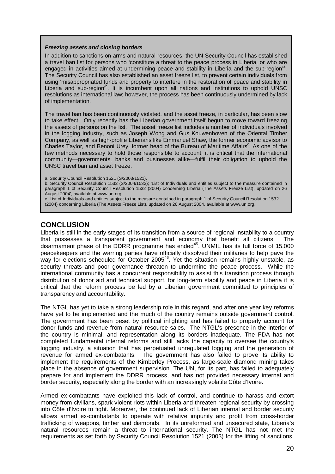#### **Freezing assets and closing borders**

In addition to sanctions on arms and natural resources, the UN Security Council has established a travel ban list for persons who 'constitute a threat to the peace process in Liberia, or who are engaged in activities aimed at undermining peace and stability in Liberia and the sub-region'<sup>a</sup>. The Security Council has also established an asset freeze list, to prevent certain individuals from using 'misappropriated funds and property to interfere in the restoration of peace and stability in Liberia and sub-region<sup>®</sup>. It is incumbent upon all nations and institutions to uphold UNSC resolutions as international law; however, the process has been continuously undermined by lack of implementation.

The travel ban has been continuously violated, and the asset freeze, in particular, has been slow to take effect. Only recently has the Liberian government itself begun to move toward freezing the assets of persons on the list. The asset freeze list includes a number of individuals involved in the logging industry, such as Joseph Wong and Gus Kouwenhoven of the Oriental Timber Company, as well as high-profile Liberians like Emmanuel Shaw, the former economic advisor to Charles Taylor, and Benoni Urey, former head of the Bureau of Maritime Affairs<sup>c</sup>. As one of the few methods necessary to hold those responsible to account, it is critical that the international community—governments, banks and businesses alike—fulfil their obligation to uphold the UNSC travel ban and asset freeze.

a. Security Council Resolution 1521 (S/2003/1521).

b. Security Council Resolution 1532 (S/2004/1532); 'List of Individuals and entities subject to the measure contained in paragraph 1 of Security Council Resolution 1532 (2004) concerning Liberia (The Assets Freeze List), updated on 26 August 2004', available at www.un.org.

c. List of Individuals and entities subject to the measure contained in paragraph 1 of Security Council Resolution 1532 (2004) concerning Liberia (The Assets Freeze List), updated on 26 August 2004, available at www.un.org.

## **CONCLUSION**

Liberia is still in the early stages of its transition from a source of regional instability to a country that possesses a transparent government and economy that benefit all citizens. The disarmament phase of the DDRR programme has ended $45$ , UNMIL has its full force of 15,000 peacekeepers and the warring parties have officially dissolved their militaries to help pave the way for elections scheduled for October 2005<sup>46</sup>. Yet the situation remains highly unstable, as security threats and poor governance threaten to undermine the peace process. While the international community has a concurrent responsibility to assist this transition process through distribution of donor aid and technical support, for long-term stability and peace in Liberia it is critical that the reform process be led by a Liberian government committed to principles of transparency and accountability.

The NTGL has yet to take a strong leadership role in this regard, and after one year key reforms have yet to be implemented and the much of the country remains outside government control. The government has been beset by political infighting and has failed to properly account for donor funds and revenue from natural resource sales. The NTGL's presence in the interior of the country is minimal, and representation along its borders inadequate. The FDA has not completed fundamental internal reforms and still lacks the capacity to oversee the country's logging industry, a situation that has perpetuated unregulated logging and the generation of revenue for armed ex-combatants. The government has also failed to prove its ability to implement the requirements of the Kimberley Process, as large-scale diamond mining takes place in the absence of government supervision. The UN, for its part, has failed to adequately prepare for and implement the DDRR process, and has not provided necessary internal and border security, especially along the border with an increasingly volatile Côte d'Ivoire.

Armed ex-combatants have exploited this lack of control, and continue to harass and extort money from civilians, spark violent riots within Liberia and threaten regional security by crossing into Côte d'Ivoire to fight. Moreover, the continued lack of Liberian internal and border security allows armed ex-combatants to operate with relative impunity and profit from cross-border trafficking of weapons, timber and diamonds. In its unreformed and unsecured state, Liberia's natural resources remain a threat to international security. The NTGL has not met the requirements as set forth by Security Council Resolution 1521 (2003) for the lifting of sanctions,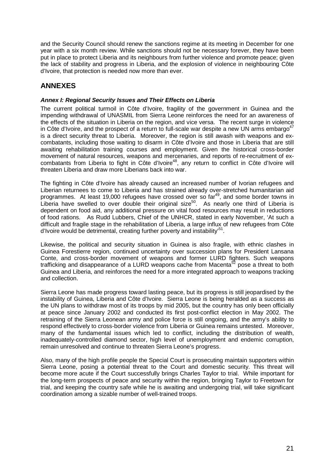and the Security Council should renew the sanctions regime at its meeting in December for one year with a six month review. While sanctions should not be necessary forever, they have been put in place to protect Liberia and its neighbours from further violence and promote peace; given the lack of stability and progress in Liberia, and the explosion of violence in neighbouring Côte d'Ivoire, that protection is needed now more than ever.

# **ANNEXES**

#### **Annex I: Regional Security Issues and Their Effects on Liberia**

The current political turmoil in Côte d'Ivoire, fragility of the government in Guinea and the impending withdrawal of UNASMIL from Sierra Leone reinforces the need for an awareness of the effects of the situation in Liberia on the region, and vice versa. The recent surge in violence in Côte d'Ivoire, and the prospect of a return to full-scale war despite a new UN arms embargo<sup>47</sup> is a direct security threat to Liberia. Moreover, the region is still awash with weapons and excombatants, including those waiting to disarm in Côte d'Ivoire and those in Liberia that are still awaiting rehabilitation training courses and employment. Given the historical cross-border movement of natural resources, weapons and mercenaries, and reports of re-recruitment of excombatants from Liberia to fight in Côte d'Ivoire<sup>48</sup>, any return to conflict in Côte d'Ivoire will threaten Liberia and draw more Liberians back into war.

The fighting in Côte d'Ivoire has already caused an increased number of Ivorian refugees and Liberian returnees to come to Liberia and has strained already over-stretched humanitarian aid programmes. At least 19,000 refugees have crossed over so  $far^{49}$ , and some border towns in Liberia have swelled to over double their original size<sup>50</sup>. As nearly one third of Liberia is dependent on food aid, any additional pressure on vital food resources may result in reductions of food rations. As Rudd Lubbers, Chief of the UNHCR, stated in early November, 'At such a difficult and fragile stage in the rehabilitation of Liberia, a large influx of new refugees from Côte d'Ivoire would be detrimental, creating further poverty and instability<sup>51</sup>.

Likewise, the political and security situation in Guinea is also fragile, with ethnic clashes in Guinea Forestierre region, continued uncertainty over succession plans for President Lansana Conte, and cross-border movement of weapons and former LURD fighters. Such weapons trafficking and disappearance of a LURD weapons cache from Macenta<sup>52</sup> pose a threat to both Guinea and Liberia, and reinforces the need for a more integrated approach to weapons tracking and collection.

Sierra Leone has made progress toward lasting peace, but its progress is still jeopardised by the instability of Guinea, Liberia and Côte d'Ivoire. Sierra Leone is being heralded as a success as the UN plans to withdraw most of its troops by mid 2005, but the country has only been officially at peace since January 2002 and conducted its first post-conflict election in May 2002. The retraining of the Sierra Leonean army and police force is still ongoing, and the army's ability to respond effectively to cross-border violence from Liberia or Guinea remains untested. Moreover, many of the fundamental issues which led to conflict, including the distribution of wealth, inadequately-controlled diamond sector, high level of unemployment and endemic corruption, remain unresolved and continue to threaten Sierra Leone's progress.

Also, many of the high profile people the Special Court is prosecuting maintain supporters within Sierra Leone, posing a potential threat to the Court and domestic security. This threat will become more acute if the Court successfully brings Charles Taylor to trial. While important for the long-term prospects of peace and security within the region, bringing Taylor to Freetown for trial, and keeping the country safe while he is awaiting and undergoing trial, will take significant coordination among a sizable number of well-trained troops.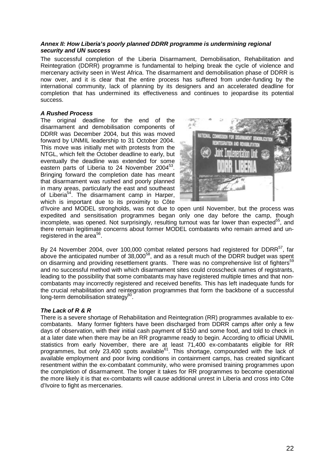#### **Annex II: How Liberia's poorly planned DDRR programme is undermining regional security and UN success**

The successful completion of the Liberia Disarmament, Demobilisation, Rehabilitation and Reintegration (DDRR) programme is fundamental to helping break the cycle of violence and mercenary activity seen in West Africa. The disarmament and demobilisation phase of DDRR is now over, and it is clear that the entire process has suffered from under-funding by the international community, lack of planning by its designers and an accelerated deadline for completion that has undermined its effectiveness and continues to jeopardise its potential success.

#### **A Rushed Process**

The original deadline for the end of the disarmament and demobilisation components of DDRR was December 2004, but this was moved forward by UNMIL leadership to 31 October 2004. This move was initially met with protests from the NTGL, which felt the October deadline to early, but eventually the deadline was extended for some eastern parts of Liberia to 24 November 2004<sup>53</sup>. Bringing forward the completion date has meant that disarmament was rushed and poorly planned in many areas, particularly the east and southeast of Liberia<sup>54</sup>. The disarmament camp in Harper, which is important due to its proximity to Côte



d'Ivoire and MODEL strongholds, was not due to open until November, but the process was expedited and sensitisation programmes began only one day before the camp, though incomplete, was opened. Not surprisingly, resulting turnout was far lower than expected<sup>55</sup>, and there remain legitimate concerns about former MODEL combatants who remain armed and unregistered in the area $^{56}$ .

By 24 November 2004, over 100,000 combat related persons had registered for DDRR<sup>57</sup>, far above the anticipated number of 38,000<sup>58</sup>, and as a result much of the DDRR budget was spent on disarming and providing resettlement grants. There was no comprehensive list of fighters<sup>59</sup> and no successful method with which disarmament sites could crosscheck names of registrants, leading to the possibility that some combatants may have registered multiple times and that noncombatants may incorrectly registered and received benefits. This has left inadequate funds for the crucial rehabilitation and reintegration programmes that form the backbone of a successful long-term demobilisation strategy<sup>60</sup>.

#### **The Lack of R & R**

There is a severe shortage of Rehabilitation and Reintegration (RR) programmes available to excombatants. Many former fighters have been discharged from DDRR camps after only a few days of observation, with their initial cash payment of \$150 and some food, and told to check in at a later date when there may be an RR programme ready to begin. According to official UNMIL statistics from early November, there are at least 71,400 ex-combatants eligible for RR programmes, but only 23,400 spots available<sup>61</sup>. This shortage, compounded with the lack of available employment and poor living conditions in containment camps, has created significant resentment within the ex-combatant community, who were promised training programmes upon the completion of disarmament. The longer it takes for RR programmes to become operational the more likely it is that ex-combatants will cause additional unrest in Liberia and cross into Côte d'Ivoire to fight as mercenaries.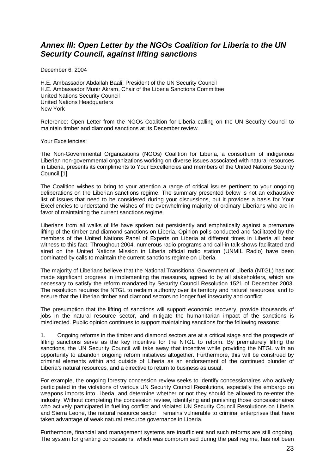# **Annex III: Open Letter by the NGOs Coalition for Liberia to the UN Security Council, against lifting sanctions**

December 6, 2004

H.E. Ambassador Abdallah Baali, President of the UN Security Council H.E. Ambassador Munir Akram, Chair of the Liberia Sanctions Committee United Nations Security Council United Nations Headquarters New York

Reference: Open Letter from the NGOs Coalition for Liberia calling on the UN Security Council to maintain timber and diamond sanctions at its December review.

Your Excellencies:

The Non-Governmental Organizations (NGOs) Coalition for Liberia, a consortium of indigenous Liberian non-governmental organizations working on diverse issues associated with natural resources in Liberia, presents its compliments to Your Excellencies and members of the United Nations Security Council [1].

The Coalition wishes to bring to your attention a range of critical issues pertinent to your ongoing deliberations on the Liberian sanctions regime. The summary presented below is not an exhaustive list of issues that need to be considered during your discussions, but it provides a basis for Your Excellencies to understand the wishes of the overwhelming majority of ordinary Liberians who are in favor of maintaining the current sanctions regime.

Liberians from all walks of life have spoken out persistently and emphatically against a premature lifting of the timber and diamond sanctions on Liberia. Opinion polls conducted and facilitated by the members of the United Nations Panel of Experts on Liberia at different times in Liberia all bear witness to this fact. Throughout 2004, numerous radio programs and call-in talk shows facilitated and aired on the United Nations Mission in Liberia official radio station (UNMIL Radio) have been dominated by calls to maintain the current sanctions regime on Liberia.

The majority of Liberians believe that the National Transitional Government of Liberia (NTGL) has not made significant progress in implementing the measures, agreed to by all stakeholders, which are necessary to satisfy the reform mandated by Security Council Resolution 1521 of December 2003. The resolution requires the NTGL to reclaim authority over its territory and natural resources, and to ensure that the Liberian timber and diamond sectors no longer fuel insecurity and conflict.

The presumption that the lifting of sanctions will support economic recovery, provide thousands of jobs in the natural resource sector, and mitigate the humanitarian impact of the sanctions is misdirected. Public opinion continues to support maintaining sanctions for the following reasons:

1. Ongoing reforms in the timber and diamond sectors are at a critical stage and the prospects of lifting sanctions serve as the key incentive for the NTGL to reform. By prematurely lifting the sanctions, the UN Security Council will take away that incentive while providing the NTGL with an opportunity to abandon ongoing reform initiatives altogether. Furthermore, this will be construed by criminal elements within and outside of Liberia as an endorsement of the continued plunder of Liberia's natural resources, and a directive to return to business as usual.

For example, the ongoing forestry concession review seeks to identify concessionaires who actively participated in the violations of various UN Security Council Resolutions, especially the embargo on weapons imports into Liberia, and determine whether or not they should be allowed to re-enter the industry. Without completing the concession review, identifying and punishing those concessionaires who actively participated in fuelling conflict and violated UN Security Council Resolutions on Liberia and Sierra Leone, the natural resource sector remains vulnerable to criminal enterprises that have taken advantage of weak natural resource governance in Liberia.

Furthermore, financial and management systems are insufficient and such reforms are still ongoing. The system for granting concessions, which was compromised during the past regime, has not been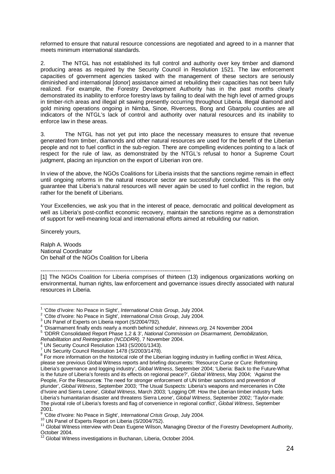reformed to ensure that natural resource concessions are negotiated and agreed to in a manner that meets minimum international standards.

2. The NTGL has not established its full control and authority over key timber and diamond producing areas as required by the Security Council in Resolution 1521. The law enforcement capacities of government agencies tasked with the management of these sectors are seriously diminished and international [donor] assistance aimed at rebuilding their capacities has not been fully realized. For example, the Forestry Development Authority has in the past months clearly demonstrated its inability to enforce forestry laws by failing to deal with the high level of armed groups in timber-rich areas and illegal pit sawing presently occurring throughout Liberia. Illegal diamond and gold mining operations ongoing in Nimba, Sinoe, Rivercess, Bong and Gbarpolu counties are all indicators of the NTGL's lack of control and authority over natural resources and its inability to enforce law in these areas.

3. The NTGL has not yet put into place the necessary measures to ensure that revenue generated from timber, diamonds and other natural resources are used for the benefit of the Liberian people and not to fuel conflict in the sub-region. There are compelling evidences pointing to a lack of respect for the rule of law, as demonstrated by the NTGL's refusal to honor a Supreme Court judgment, placing an injunction on the export of Liberian iron ore.

In view of the above, the NGOs Coalitions for Liberia insists that the sanctions regime remain in effect until ongoing reforms in the natural resource sector are successfully concluded. This is the only guarantee that Liberia's natural resources will never again be used to fuel conflict in the region, but rather for the benefit of Liberians.

Your Excellencies, we ask you that in the interest of peace, democratic and political development as well as Liberia's post-conflict economic recovery, maintain the sanctions regime as a demonstration of support for well-meaning local and international efforts aimed at rebuilding our nation.

Sincerely yours,

Ralph A. Woods National Coordinator On behalf of the NGOs Coalition for Liberia

--------------------------------------------------------------------------------

[1] The NGOs Coalition for Liberia comprises of thirteen (13) indigenous organizations working on environmental, human rights, law enforcement and governance issues directly associated with natural resources in Liberia.

<sup>1 &#</sup>x27;Côte d'Ivoire: No Peace in Sight', *International Crisis Group*, July 2004.<br><sup>2</sup> 'Côte d'Ivoire: No Peace in Sight', International Crisis Group, July 2004.

<sup>&</sup>lt;sup>2</sup> 'Côte d'Ivoire: No Peace in Sight', International Crisis Group, July 2004.

<sup>&</sup>lt;sup>3</sup> UN Panel of Experts on Liberia report (S/2004/792).

<sup>&</sup>lt;sup>4</sup> 'Disarmament finally ends nearly a month behind schedule', *Irinnews.org*, 24 November 2004<br><sup>5</sup> 'DDBB Consolidated Bonest Phase 1.2.8.2', Notional Commission on Disarmament, Demokiis

<sup>&</sup>lt;sup>5</sup> 'DDRR Consolidated Report Phase 1,2 & 3', National Commission on Disarmament, Demobilization,

Rehabilitation and Reintegration (NCDDRR), 7 November 2004. UN Security Council Resolution 1343 (S/2001/1343).

<sup>7</sup> UN Security Council Resolution 1478 (S/2003/1478).

 $8$  For more information on the historical role of the Liberian logging industry in fuelling conflict in West Africa, please see previous Global Witness reports and briefing documents: 'Resource Curse or Cure: Reforming Liberia's governance and logging industry', Global Witness, September 2004; 'Liberia: Back to the Future-What is the future of Liberia's forests and its effects on regional peace?', Global Witness, May 2004; 'Against the People, For the Resource**s**: The need for stronger enforcement of UN timber sanctions and prevention of plunder', Global Witness, September 2003; 'The Usual Suspects: Liberia's weapons and mercenaries in Côte d'Ivoire and Sierra Leone', *Global Witness*, March 2003; 'Logging Off: How the Liberian timber industry fuels Liberia's humanitarian disaster and threatens Sierra Leone', Global Witness, September 2002; 'Taylor-made: The pivotal role of Liberia's forests and flag of convenience in regional conflict', Global Witness, September 2001.<br><sup>9</sup> 'Côte d'Ivoire: No Peace in Sight', *International Crisis Group*, July 2004.

<sup>9</sup>

<sup>&</sup>lt;sup>10</sup> UN Panel of Experts Report on Liberia (S/2004/752).<br><sup>11</sup> Global Witness interview with Dean Eugene Wilson, Managing Director of the Forestry Development Authority, October 2004.

 $12$  Global Witness investigations in Buchanan, Liberia, October 2004.